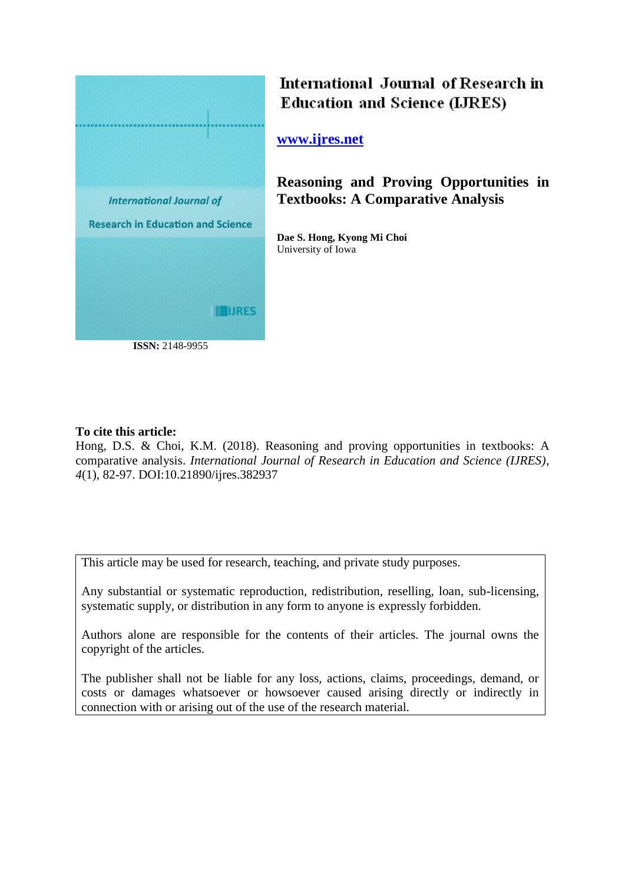

# International Journal of Research in **Education and Science (LJRES)**

# **[www.ijres.net](http://www.ijres.net/)**

**Reasoning and Proving Opportunities in Textbooks: A Comparative Analysis**

**Dae S. Hong, Kyong Mi Choi** University of Iowa

## **To cite this article:**

Hong, D.S. & Choi, K.M. (2018). Reasoning and proving opportunities in textbooks: A comparative analysis. *International Journal of Research in Education and Science (IJRES), 4*(1), 82-97. DOI:10.21890/ijres.382937

This article may be used for research, teaching, and private study purposes.

Any substantial or systematic reproduction, redistribution, reselling, loan, sub-licensing, systematic supply, or distribution in any form to anyone is expressly forbidden.

Authors alone are responsible for the contents of their articles. The journal owns the copyright of the articles.

The publisher shall not be liable for any loss, actions, claims, proceedings, demand, or costs or damages whatsoever or howsoever caused arising directly or indirectly in connection with or arising out of the use of the research material.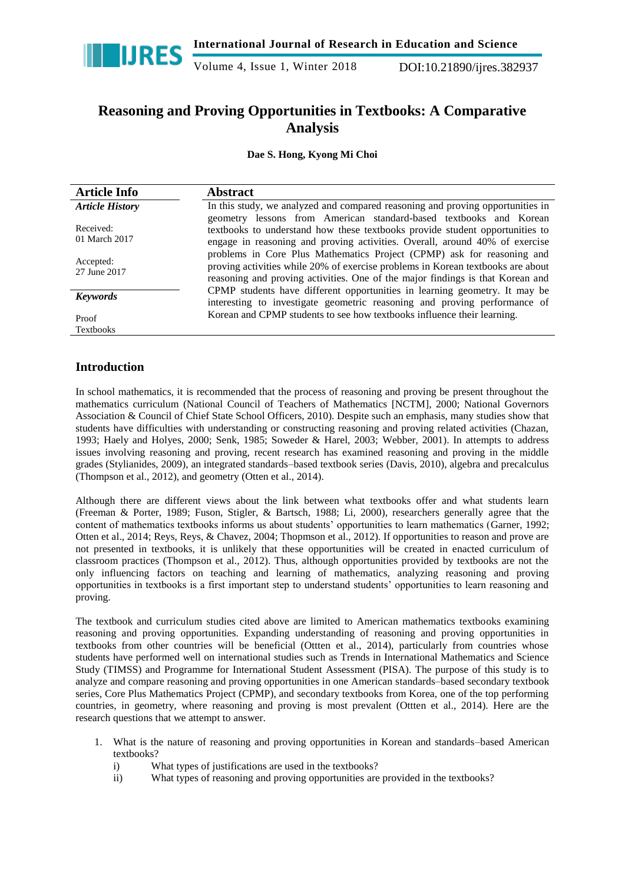

Volume 4, Issue 1, Winter 2018 DOI:10.21890/ijres.382937

# **Reasoning and Proving Opportunities in Textbooks: A Comparative Analysis**

## **Dae S. Hong, Kyong Mi Choi**

| <b>Article Info</b>        | <b>Abstract</b>                                                                                                                                                                                                                             |
|----------------------------|---------------------------------------------------------------------------------------------------------------------------------------------------------------------------------------------------------------------------------------------|
| <b>Article History</b>     | In this study, we analyzed and compared reasoning and proving opportunities in                                                                                                                                                              |
| Received:<br>01 March 2017 | geometry lessons from American standard-based textbooks and Korean<br>textbooks to understand how these textbooks provide student opportunities to<br>engage in reasoning and proving activities. Overall, around 40% of exercise           |
| Accepted:<br>27 June 2017  | problems in Core Plus Mathematics Project (CPMP) ask for reasoning and<br>proving activities while 20% of exercise problems in Korean textbooks are about<br>reasoning and proving activities. One of the major findings is that Korean and |
| <b>Keywords</b>            | CPMP students have different opportunities in learning geometry. It may be<br>interesting to investigate geometric reasoning and proving performance of                                                                                     |
| Proof<br><b>Textbooks</b>  | Korean and CPMP students to see how textbooks influence their learning.                                                                                                                                                                     |

## **Introduction**

In school mathematics, it is recommended that the process of reasoning and proving be present throughout the mathematics curriculum (National Council of Teachers of Mathematics [NCTM], 2000; National Governors Association & Council of Chief State School Officers, 2010). Despite such an emphasis, many studies show that students have difficulties with understanding or constructing reasoning and proving related activities (Chazan, 1993; Haely and Holyes, 2000; Senk, 1985; Soweder & Harel, 2003; Webber, 2001). In attempts to address issues involving reasoning and proving, recent research has examined reasoning and proving in the middle grades (Stylianides, 2009), an integrated standards–based textbook series (Davis, 2010), algebra and precalculus (Thompson et al., 2012), and geometry (Otten et al., 2014).

Although there are different views about the link between what textbooks offer and what students learn (Freeman & Porter, 1989; Fuson, Stigler, & Bartsch, 1988; Li, 2000), researchers generally agree that the content of mathematics textbooks informs us about students' opportunities to learn mathematics (Garner, 1992; Otten et al., 2014; Reys, Reys, & Chavez, 2004; Thopmson et al., 2012). If opportunities to reason and prove are not presented in textbooks, it is unlikely that these opportunities will be created in enacted curriculum of classroom practices (Thompson et al., 2012). Thus, although opportunities provided by textbooks are not the only influencing factors on teaching and learning of mathematics, analyzing reasoning and proving opportunities in textbooks is a first important step to understand students' opportunities to learn reasoning and proving.

The textbook and curriculum studies cited above are limited to American mathematics textbooks examining reasoning and proving opportunities. Expanding understanding of reasoning and proving opportunities in textbooks from other countries will be beneficial (Ottten et al., 2014), particularly from countries whose students have performed well on international studies such as Trends in International Mathematics and Science Study (TIMSS) and Programme for International Student Assessment (PISA). The purpose of this study is to analyze and compare reasoning and proving opportunities in one American standards–based secondary textbook series, Core Plus Mathematics Project (CPMP), and secondary textbooks from Korea, one of the top performing countries, in geometry, where reasoning and proving is most prevalent (Ottten et al., 2014). Here are the research questions that we attempt to answer.

- 1. What is the nature of reasoning and proving opportunities in Korean and standards–based American textbooks?
	- i) What types of justifications are used in the textbooks?
	- ii) What types of reasoning and proving opportunities are provided in the textbooks?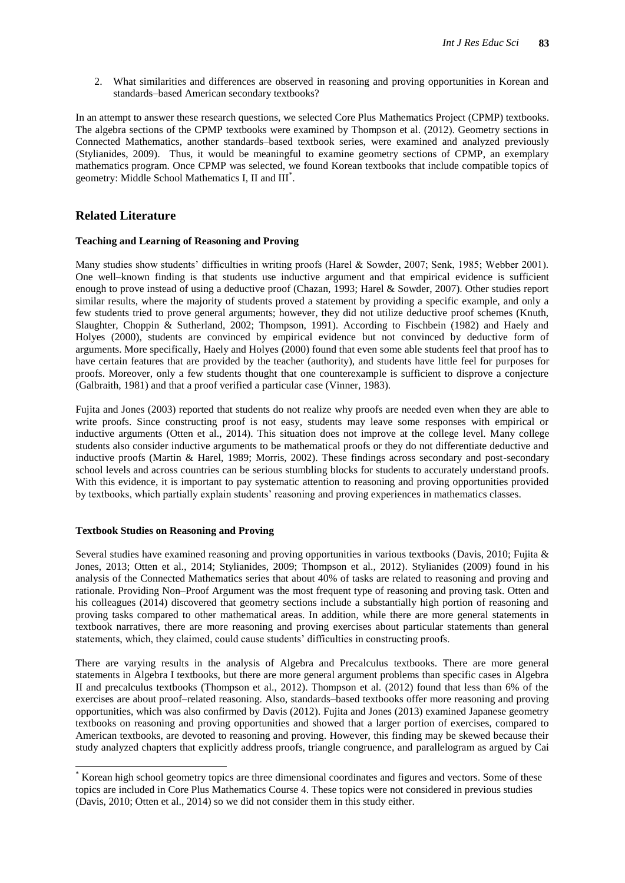2. What similarities and differences are observed in reasoning and proving opportunities in Korean and standards–based American secondary textbooks?

In an attempt to answer these research questions, we selected Core Plus Mathematics Project (CPMP) textbooks. The algebra sections of the CPMP textbooks were examined by Thompson et al. (2012). Geometry sections in Connected Mathematics, another standards–based textbook series, were examined and analyzed previously (Stylianides, 2009). Thus, it would be meaningful to examine geometry sections of CPMP, an exemplary mathematics program. Once CPMP was selected, we found Korean textbooks that include compatible topics of geometry: Middle School Mathematics I, II and III<sup>\*</sup>.

## **Related Literature**

### **Teaching and Learning of Reasoning and Proving**

Many studies show students' difficulties in writing proofs (Harel & Sowder, 2007; Senk, 1985; Webber 2001). One well–known finding is that students use inductive argument and that empirical evidence is sufficient enough to prove instead of using a deductive proof (Chazan, 1993; Harel & Sowder, 2007). Other studies report similar results, where the majority of students proved a statement by providing a specific example, and only a few students tried to prove general arguments; however, they did not utilize deductive proof schemes (Knuth, Slaughter, Choppin & Sutherland, 2002; Thompson, 1991). According to Fischbein (1982) and Haely and Holyes (2000), students are convinced by empirical evidence but not convinced by deductive form of arguments. More specifically, Haely and Holyes (2000) found that even some able students feel that proof has to have certain features that are provided by the teacher (authority), and students have little feel for purposes for proofs. Moreover, only a few students thought that one counterexample is sufficient to disprove a conjecture (Galbraith, 1981) and that a proof verified a particular case (Vinner, 1983).

Fujita and Jones (2003) reported that students do not realize why proofs are needed even when they are able to write proofs. Since constructing proof is not easy, students may leave some responses with empirical or inductive arguments (Otten et al., 2014). This situation does not improve at the college level. Many college students also consider inductive arguments to be mathematical proofs or they do not differentiate deductive and inductive proofs (Martin & Harel, 1989; Morris, 2002). These findings across secondary and post-secondary school levels and across countries can be serious stumbling blocks for students to accurately understand proofs. With this evidence, it is important to pay systematic attention to reasoning and proving opportunities provided by textbooks, which partially explain students' reasoning and proving experiences in mathematics classes.

### **Textbook Studies on Reasoning and Proving**

 $\overline{a}$ 

Several studies have examined reasoning and proving opportunities in various textbooks (Davis, 2010; Fujita & Jones, 2013; Otten et al., 2014; Stylianides, 2009; Thompson et al., 2012). Stylianides (2009) found in his analysis of the Connected Mathematics series that about 40% of tasks are related to reasoning and proving and rationale. Providing Non–Proof Argument was the most frequent type of reasoning and proving task. Otten and his colleagues (2014) discovered that geometry sections include a substantially high portion of reasoning and proving tasks compared to other mathematical areas. In addition, while there are more general statements in textbook narratives, there are more reasoning and proving exercises about particular statements than general statements, which, they claimed, could cause students' difficulties in constructing proofs.

There are varying results in the analysis of Algebra and Precalculus textbooks. There are more general statements in Algebra I textbooks, but there are more general argument problems than specific cases in Algebra II and precalculus textbooks (Thompson et al., 2012). Thompson et al. (2012) found that less than 6% of the exercises are about proof–related reasoning. Also, standards–based textbooks offer more reasoning and proving opportunities, which was also confirmed by Davis (2012). Fujita and Jones (2013) examined Japanese geometry textbooks on reasoning and proving opportunities and showed that a larger portion of exercises, compared to American textbooks, are devoted to reasoning and proving. However, this finding may be skewed because their study analyzed chapters that explicitly address proofs, triangle congruence, and parallelogram as argued by Cai

<sup>\*</sup> Korean high school geometry topics are three dimensional coordinates and figures and vectors. Some of these topics are included in Core Plus Mathematics Course 4. These topics were not considered in previous studies (Davis, 2010; Otten et al., 2014) so we did not consider them in this study either.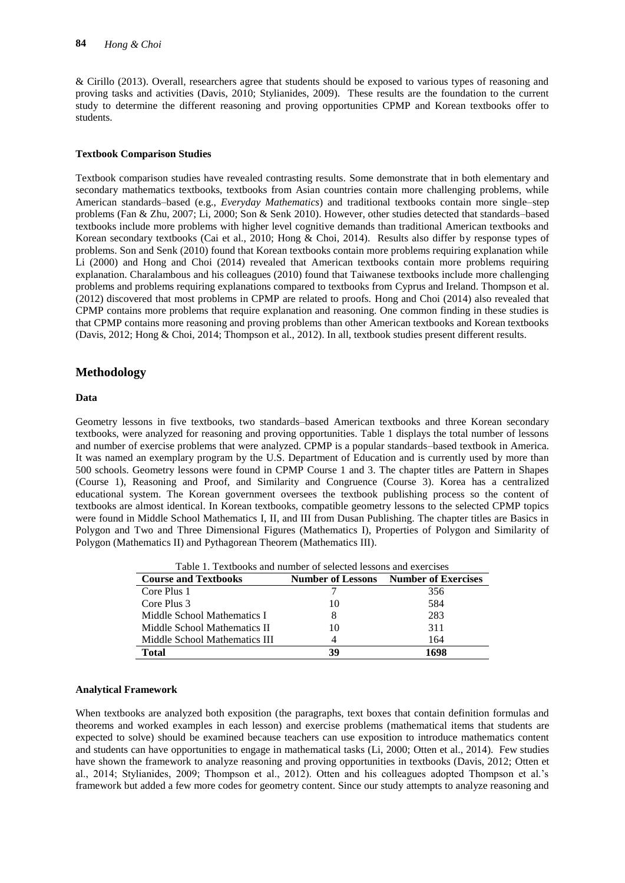& Cirillo (2013). Overall, researchers agree that students should be exposed to various types of reasoning and proving tasks and activities (Davis, 2010; Stylianides, 2009). These results are the foundation to the current study to determine the different reasoning and proving opportunities CPMP and Korean textbooks offer to students.

### **Textbook Comparison Studies**

Textbook comparison studies have revealed contrasting results. Some demonstrate that in both elementary and secondary mathematics textbooks, textbooks from Asian countries contain more challenging problems, while American standards–based (e.g., *Everyday Mathematics*) and traditional textbooks contain more single–step problems (Fan & Zhu, 2007; Li, 2000; Son & Senk 2010). However, other studies detected that standards–based textbooks include more problems with higher level cognitive demands than traditional American textbooks and Korean secondary textbooks (Cai et al., 2010; Hong & Choi, 2014). Results also differ by response types of problems. Son and Senk (2010) found that Korean textbooks contain more problems requiring explanation while Li (2000) and Hong and Choi (2014) revealed that American textbooks contain more problems requiring explanation. Charalambous and his colleagues (2010) found that Taiwanese textbooks include more challenging problems and problems requiring explanations compared to textbooks from Cyprus and Ireland. Thompson et al. (2012) discovered that most problems in CPMP are related to proofs. Hong and Choi (2014) also revealed that CPMP contains more problems that require explanation and reasoning. One common finding in these studies is that CPMP contains more reasoning and proving problems than other American textbooks and Korean textbooks (Davis, 2012; Hong & Choi, 2014; Thompson et al., 2012). In all, textbook studies present different results.

## **Methodology**

#### **Data**

Geometry lessons in five textbooks, two standards–based American textbooks and three Korean secondary textbooks, were analyzed for reasoning and proving opportunities. Table 1 displays the total number of lessons and number of exercise problems that were analyzed. CPMP is a popular standards–based textbook in America. It was named an exemplary program by the U.S. Department of Education and is currently used by more than 500 schools. Geometry lessons were found in CPMP Course 1 and 3. The chapter titles are Pattern in Shapes (Course 1), Reasoning and Proof, and Similarity and Congruence (Course 3). Korea has a centralized educational system. The Korean government oversees the textbook publishing process so the content of textbooks are almost identical. In Korean textbooks, compatible geometry lessons to the selected CPMP topics were found in Middle School Mathematics I, II, and III from Dusan Publishing. The chapter titles are Basics in Polygon and Two and Three Dimensional Figures (Mathematics I), Properties of Polygon and Similarity of Polygon (Mathematics II) and Pythagorean Theorem (Mathematics III).

| se and Textbooks' | Number of Lessons Number of Exerc                               |  |
|-------------------|-----------------------------------------------------------------|--|
|                   | Table 1. Textbooks and number of selected lessons and exercises |  |

| <b>Course and Textbooks</b>   | <b>Number of Lessons</b> | <b>Number of Exercises</b> |
|-------------------------------|--------------------------|----------------------------|
| Core Plus 1                   |                          | 356                        |
| Core Plus 3                   | 10                       | 584                        |
| Middle School Mathematics I   |                          | 283                        |
| Middle School Mathematics II  | 10                       | 311                        |
| Middle School Mathematics III |                          | 164                        |
| <b>Total</b>                  | 39                       | 1698                       |

### **Analytical Framework**

When textbooks are analyzed both exposition (the paragraphs, text boxes that contain definition formulas and theorems and worked examples in each lesson) and exercise problems (mathematical items that students are expected to solve) should be examined because teachers can use exposition to introduce mathematics content and students can have opportunities to engage in mathematical tasks (Li, 2000; Otten et al., 2014). Few studies have shown the framework to analyze reasoning and proving opportunities in textbooks (Davis, 2012; Otten et al., 2014; Stylianides, 2009; Thompson et al., 2012). Otten and his colleagues adopted Thompson et al.'s framework but added a few more codes for geometry content. Since our study attempts to analyze reasoning and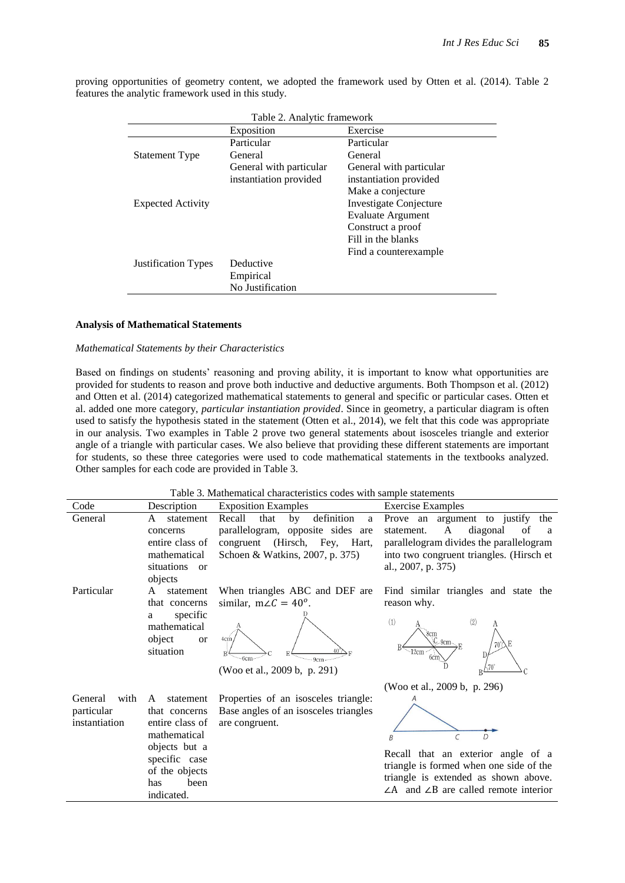| Table 2. Analytic framework |                         |                          |  |
|-----------------------------|-------------------------|--------------------------|--|
|                             | Exposition              | Exercise                 |  |
|                             | Particular              | Particular               |  |
| <b>Statement Type</b>       | General                 | General                  |  |
|                             | General with particular | General with particular  |  |
|                             | instantiation provided  | instantiation provided   |  |
|                             |                         | Make a conjecture        |  |
| <b>Expected Activity</b>    |                         | Investigate Conjecture   |  |
|                             |                         | <b>Evaluate Argument</b> |  |
|                             |                         | Construct a proof        |  |
|                             |                         | Fill in the blanks       |  |
|                             |                         | Find a counterexample    |  |
| <b>Justification Types</b>  | Deductive               |                          |  |
|                             | Empirical               |                          |  |
|                             | No Justification        |                          |  |

proving opportunities of geometry content, we adopted the framework used by Otten et al. (2014). Table 2 features the analytic framework used in this study.

#### **Analysis of Mathematical Statements**

#### *Mathematical Statements by their Characteristics*

Based on findings on students' reasoning and proving ability, it is important to know what opportunities are provided for students to reason and prove both inductive and deductive arguments. Both Thompson et al. (2012) and Otten et al. (2014) categorized mathematical statements to general and specific or particular cases. Otten et al. added one more category, *particular instantiation provided*. Since in geometry, a particular diagram is often used to satisfy the hypothesis stated in the statement (Otten et al., 2014), we felt that this code was appropriate in our analysis. Two examples in Table 2 prove two general statements about isosceles triangle and exterior angle of a triangle with particular cases. We also believe that providing these different statements are important for students, so these three categories were used to code mathematical statements in the textbooks analyzed. Other samples for each code are provided in Table 3.

Table 3. Mathematical characteristics codes with sample statements

| Code                                           | Description                                                                                                                                         | <b>Exposition Examples</b>                                                                                                                       | <b>Exercise Examples</b>                                                                                                                                                                              |
|------------------------------------------------|-----------------------------------------------------------------------------------------------------------------------------------------------------|--------------------------------------------------------------------------------------------------------------------------------------------------|-------------------------------------------------------------------------------------------------------------------------------------------------------------------------------------------------------|
| General                                        | A<br>statement<br>concerns<br>entire class of<br>mathematical<br>situations<br>$\alpha$<br>objects                                                  | definition<br>Recall<br>that<br>by<br>a<br>parallelogram, opposite sides are<br>congruent (Hirsch, Fey, Hart,<br>Schoen & Watkins, 2007, p. 375) | Prove an argument to justify<br>the<br>diagonal<br>A<br>statement.<br>of<br><sub>a</sub><br>parallelogram divides the parallelogram<br>into two congruent triangles. (Hirsch et<br>al., 2007, p. 375) |
| Particular                                     | A<br>statement<br>that concerns<br>specific<br>a<br>mathematical<br>object<br><b>or</b><br>situation                                                | When triangles ABC and DEF are<br>similar, $m\angle C = 40^\circ$ .<br>4cm<br>9cm<br>(Woo et al., 2009 b, p. 291)                                | Find similar triangles and state the<br>reason why.<br>(1)<br>(2)<br>А<br>.8cm<br>$-9cm$<br>$-12cm$<br>6cm<br>(Woo et al., 2009 b, p. 296)                                                            |
| General<br>with<br>particular<br>instantiation | statement<br>A<br>that concerns<br>entire class of<br>mathematical<br>objects but a<br>specific case<br>of the objects<br>has<br>been<br>indicated. | Properties of an isosceles triangle:<br>Base angles of an isosceles triangles<br>are congruent.                                                  | C<br>Recall that an exterior angle of a<br>triangle is formed when one side of the<br>triangle is extended as shown above.<br>$\angle A$ and $\angle B$ are called remote interior                    |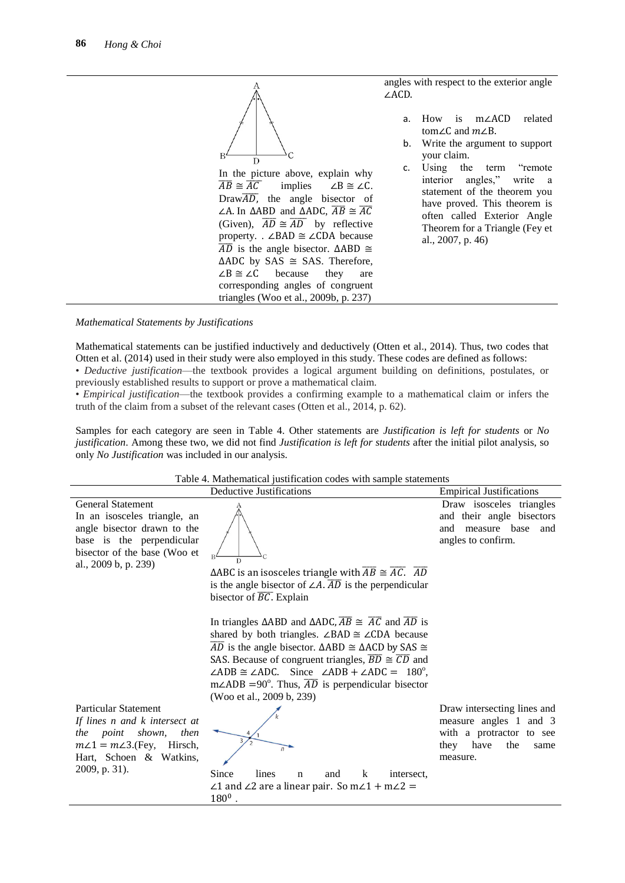

*Mathematical Statements by Justifications*

Mathematical statements can be justified inductively and deductively (Otten et al., 2014). Thus, two codes that Otten et al. (2014) used in their study were also employed in this study. These codes are defined as follows: • *Deductive justification*—the textbook provides a logical argument building on definitions, postulates, or

previously established results to support or prove a mathematical claim.

• *Empirical justification*—the textbook provides a confirming example to a mathematical claim or infers the truth of the claim from a subset of the relevant cases (Otten et al., 2014, p. 62).

Samples for each category are seen in Table 4. Other statements are *Justification is left for students* or *No justification*. Among these two, we did not find *Justification is left for students* after the initial pilot analysis, so only *No Justification* was included in our analysis.

| Table 4. Mathematical justification codes with sample statements |
|------------------------------------------------------------------|
|                                                                  |

|                              | Deductive Justifications |   | <b>Empirical Justifications</b> |
|------------------------------|--------------------------|---|---------------------------------|
| General Statement            |                          |   | Draw isosceles triangles        |
| In an isosceles triangle, an |                          |   | and their angle bisectors       |
| angle bisector drawn to the  |                          |   | and measure base and            |
| base is the perpendicular    |                          |   | angles to confirm.              |
| bisector of the base (Woo et |                          |   |                                 |
| al., 2009 b, p. 239)         | $\cdots$                 | . |                                 |

 $\triangle$ ABC is an isosceles triangle with  $\overline{AB} \cong \overline{AC}$ .  $\overline{AD}$ is the angle bisector of  $\angle A$ .  $\overline{AD}$  is the perpendicular bisector of  $\overline{BC}$ . Explain

In triangles  $\triangle ABD$  and  $\triangle ADC$ ,  $\overline{AB} \cong \overline{AC}$  and  $\overline{AD}$  is shared by both triangles.  $\angle$ BAD  $\cong$   $\angle$ CDA because  $\overline{AD}$  is the angle bisector.  $\triangle ABD \cong \triangle ACD$  by SAS  $\cong$ SAS. Because of congruent triangles,  $\overline{BD} \cong \overline{CD}$  and  $\angle ADB \cong \angle ADC$ . Since  $\angle ADB + \angle ADC = 180^\circ$ ,  $m\angle ADB = 90^\circ$ . Thus,  $\overline{AD}$  is perpendicular bisector (Woo et al., 2009 b, 239)

Particular Statement *If lines n and k intersect at* 

*the point shown, then*   $m\angle 1 = m\angle 3$ . (Fey, Hirsch, Hart, Schoen & Watkins,



2009, p. 31). Since lines n and k intersect,  $\angle$ 1 and  $\angle$ 2 are a linear pair. So m $\angle$ 1 + m $\angle$ 2 =  $180^{0}$ .

Draw intersecting lines and measure angles 1 and 3 with a protractor to see they have the same measure.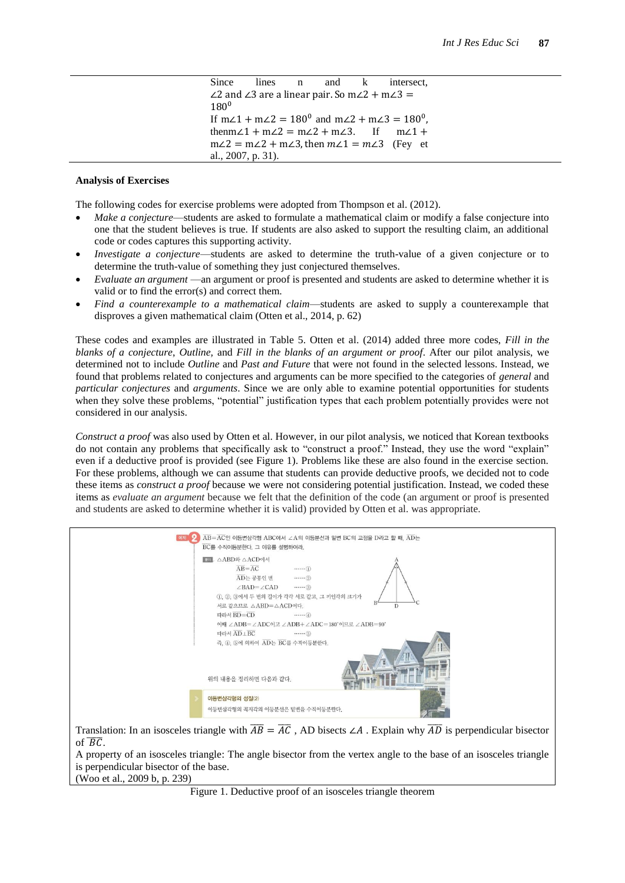### **Analysis of Exercises**

The following codes for exercise problems were adopted from Thompson et al. (2012).

- *Make a conjecture*—students are asked to formulate a mathematical claim or modify a false conjecture into one that the student believes is true. If students are also asked to support the resulting claim, an additional code or codes captures this supporting activity.
- *Investigate a conjecture*—students are asked to determine the truth-value of a given conjecture or to determine the truth-value of something they just conjectured themselves.
- *Evaluate an argument* —an argument or proof is presented and students are asked to determine whether it is valid or to find the error(s) and correct them.
- *Find a counterexample to a mathematical claim*—students are asked to supply a counterexample that disproves a given mathematical claim (Otten et al., 2014, p. 62)

These codes and examples are illustrated in Table 5. Otten et al. (2014) added three more codes, *Fill in the blanks of a conjecture*, *Outline,* and *Fill in the blanks of an argument or proof*. After our pilot analysis, we determined not to include *Outline* and *Past and Future* that were not found in the selected lessons. Instead, we found that problems related to conjectures and arguments can be more specified to the categories of *general* and *particular conjectures* and *arguments*. Since we are only able to examine potential opportunities for students when they solve these problems, "potential" justification types that each problem potentially provides were not considered in our analysis.

*Construct a proof* was also used by Otten et al. However, in our pilot analysis, we noticed that Korean textbooks do not contain any problems that specifically ask to "construct a proof." Instead, they use the word "explain" even if a deductive proof is provided (see Figure 1). Problems like these are also found in the exercise section. For these problems, although we can assume that students can provide deductive proofs, we decided not to code these items as *construct a proof* because we were not considering potential justification. Instead, we coded these items as *evaluate an argument* because we felt that the definition of the code (an argument or proof is presented and students are asked to determine whether it is valid) provided by Otten et al. was appropriate.

| $\overline{AB} = \overline{AC}$ 인 이동변삼각형 ABC에서 $\angle$ A의 이동분선과 밑변 BC의 교점을 D라고 할 때, $\overline{AD}$ 는<br>8월 저희<br>BC를 수직이등분한다. 그 이유를 설명하여라.                                                                                      |
|-----------------------------------------------------------------------------------------------------------------------------------------------------------------------------------------------------------------------------------|
| <b>FOI</b> △ABD와 △ACD에서<br>$\overline{AB} = \overline{AC}$<br>$\cdots$ (1)<br>AD는 공통인 변<br>$\cdots$ (2)<br>$\angle$ BAD= $\angle$ CAD<br>$\cdots$ (3)<br>10, 20, 3에서 두 변의 길이가 각각 서로 같고, 그 끼인각의 크기가<br>서로 같으므로 △ABD = △ACD이다.<br>D |
| 따라서 BD=CD<br>$\cdots$ (4)<br>이때 ZADB=ZADC이고 ZADB+ZADC=180°이므로 ZADB=90°<br>따라서 AD LBC<br>$\cdots$ (5)<br>즉, 4, 5에 의하여 AD는 BC를 수직이등분한다.                                                                                             |
| 위의 내용을 정리하면 다음과 같다.                                                                                                                                                                                                               |
| 이등변삼각형의 성질(2)<br>이등변삼각형의 꼭지각의 이등분선은 밑변을 수직이등분한다.                                                                                                                                                                                  |
|                                                                                                                                                                                                                                   |

Translation: In an isosceles triangle with  $\overline{AB} = \overline{AC}$ , AD bisects  $\angle A$ . Explain why  $\overline{AD}$  is perpendicular bisector of  $\overline{BC}$ .

A property of an isosceles triangle: The angle bisector from the vertex angle to the base of an isosceles triangle is perpendicular bisector of the base.

(Woo et al., 2009 b, p. 239)

Figure 1. Deductive proof of an isosceles triangle theorem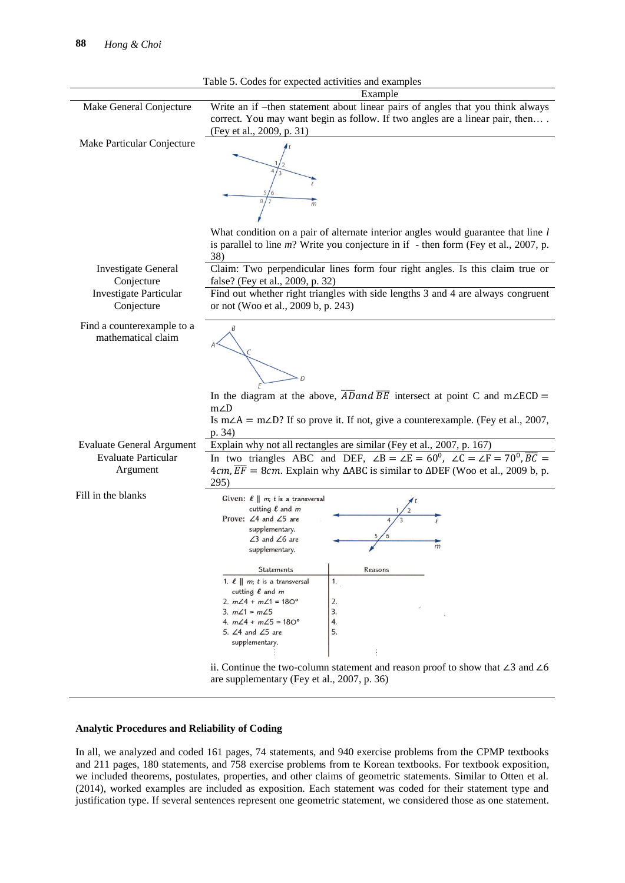

#### **Analytic Procedures and Reliability of Coding**

In all, we analyzed and coded 161 pages, 74 statements, and 940 exercise problems from the CPMP textbooks and 211 pages, 180 statements, and 758 exercise problems from te Korean textbooks. For textbook exposition, we included theorems, postulates, properties, and other claims of geometric statements. Similar to Otten et al. (2014), worked examples are included as exposition. Each statement was coded for their statement type and justification type. If several sentences represent one geometric statement, we considered those as one statement.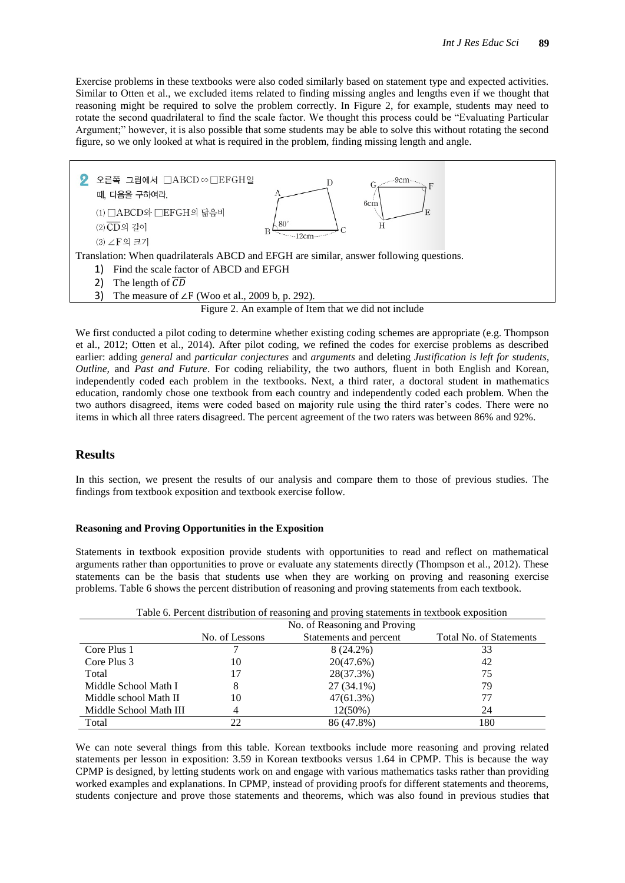Exercise problems in these textbooks were also coded similarly based on statement type and expected activities. Similar to Otten et al., we excluded items related to finding missing angles and lengths even if we thought that reasoning might be required to solve the problem correctly. In Figure 2, for example, students may need to rotate the second quadrilateral to find the scale factor. We thought this process could be "Evaluating Particular Argument;" however, it is also possible that some students may be able to solve this without rotating the second figure, so we only looked at what is required in the problem, finding missing length and angle.



We first conducted a pilot coding to determine whether existing coding schemes are appropriate (e.g. Thompson et al., 2012; Otten et al., 2014). After pilot coding, we refined the codes for exercise problems as described earlier: adding *general* and *particular conjectures* and *arguments* and deleting *Justification is left for students, Outline,* and *Past and Future*. For coding reliability, the two authors, fluent in both English and Korean, independently coded each problem in the textbooks. Next, a third rater, a doctoral student in mathematics education, randomly chose one textbook from each country and independently coded each problem. When the two authors disagreed, items were coded based on majority rule using the third rater's codes. There were no items in which all three raters disagreed. The percent agreement of the two raters was between 86% and 92%.

## **Results**

In this section, we present the results of our analysis and compare them to those of previous studies. The findings from textbook exposition and textbook exercise follow.

#### **Reasoning and Proving Opportunities in the Exposition**

Statements in textbook exposition provide students with opportunities to read and reflect on mathematical arguments rather than opportunities to prove or evaluate any statements directly (Thompson et al., 2012). These statements can be the basis that students use when they are working on proving and reasoning exercise problems. Table 6 shows the percent distribution of reasoning and proving statements from each textbook.

| Table 6. Percent distribution of reasoning and proving statements in textbook exposition |                              |                        |                         |  |
|------------------------------------------------------------------------------------------|------------------------------|------------------------|-------------------------|--|
|                                                                                          | No. of Reasoning and Proving |                        |                         |  |
|                                                                                          | No. of Lessons               | Statements and percent | Total No. of Statements |  |
| Core Plus 1                                                                              |                              | $8(24.2\%)$            | 33                      |  |
| Core Plus 3                                                                              | 10                           | 20(47.6%)              | 42                      |  |
| Total                                                                                    |                              | 28(37.3%)              | 75                      |  |
| Middle School Math I                                                                     | 8                            | $27(34.1\%)$           | 79                      |  |
| Middle school Math II                                                                    | 10                           | 47(61.3%)              |                         |  |
| Middle School Math III                                                                   |                              | $12(50\%)$             | 24                      |  |
| Total                                                                                    |                              | 86 (47.8%)             | 180                     |  |

We can note several things from this table. Korean textbooks include more reasoning and proving related statements per lesson in exposition: 3.59 in Korean textbooks versus 1.64 in CPMP. This is because the way CPMP is designed, by letting students work on and engage with various mathematics tasks rather than providing worked examples and explanations. In CPMP, instead of providing proofs for different statements and theorems, students conjecture and prove those statements and theorems, which was also found in previous studies that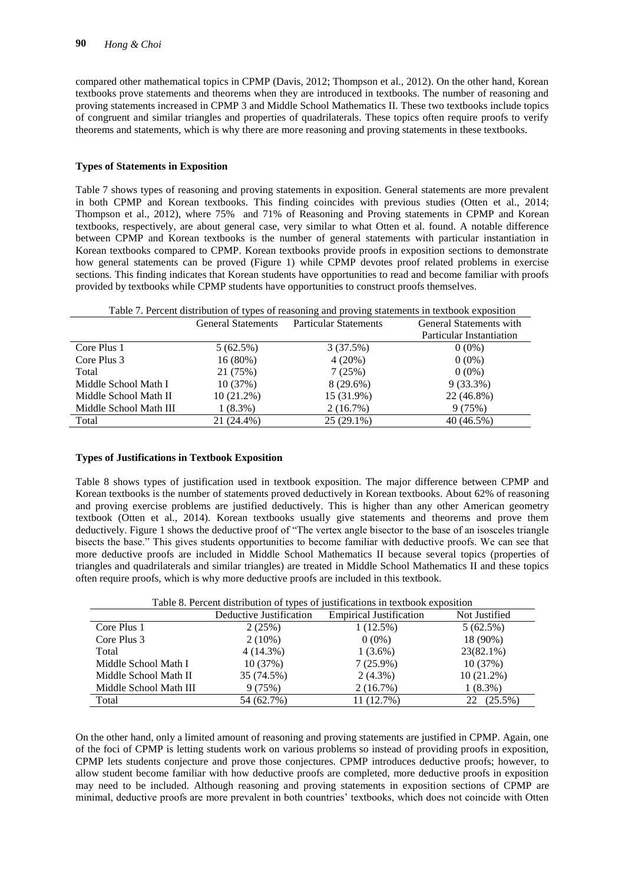compared other mathematical topics in CPMP (Davis, 2012; Thompson et al., 2012). On the other hand, Korean textbooks prove statements and theorems when they are introduced in textbooks. The number of reasoning and proving statements increased in CPMP 3 and Middle School Mathematics II. These two textbooks include topics of congruent and similar triangles and properties of quadrilaterals. These topics often require proofs to verify theorems and statements, which is why there are more reasoning and proving statements in these textbooks.

#### **Types of Statements in Exposition**

Table 7 shows types of reasoning and proving statements in exposition. General statements are more prevalent in both CPMP and Korean textbooks. This finding coincides with previous studies (Otten et al., 2014; Thompson et al., 2012), where 75% and 71% of Reasoning and Proving statements in CPMP and Korean textbooks, respectively, are about general case, very similar to what Otten et al. found. A notable difference between CPMP and Korean textbooks is the number of general statements with particular instantiation in Korean textbooks compared to CPMP. Korean textbooks provide proofs in exposition sections to demonstrate how general statements can be proved (Figure 1) while CPMP devotes proof related problems in exercise sections. This finding indicates that Korean students have opportunities to read and become familiar with proofs provided by textbooks while CPMP students have opportunities to construct proofs themselves.

| Table 7. Percent distribution of types of reasoning and proving statements in textbook exposition |                                                                                      |              |                          |  |  |
|---------------------------------------------------------------------------------------------------|--------------------------------------------------------------------------------------|--------------|--------------------------|--|--|
|                                                                                                   | General Statements with<br><b>Particular Statements</b><br><b>General Statements</b> |              |                          |  |  |
|                                                                                                   |                                                                                      |              | Particular Instantiation |  |  |
| Core Plus 1                                                                                       | 5(62.5%)                                                                             | 3(37.5%)     | $0(0\%)$                 |  |  |
| Core Plus 3                                                                                       | $16(80\%)$                                                                           | 4(20%)       | $0(0\%)$                 |  |  |
| Total                                                                                             | 21 (75%)                                                                             | 7(25%)       | $0(0\%)$                 |  |  |
| Middle School Math I                                                                              | 10(37%)                                                                              | $8(29.6\%)$  | $9(33.3\%)$              |  |  |
| Middle School Math II                                                                             | 10(21.2%)                                                                            | 15 (31.9%)   | 22 (46.8%)               |  |  |
| Middle School Math III                                                                            | $1(8.3\%)$                                                                           | $2(16.7\%)$  | 9(75%)                   |  |  |
| Total                                                                                             | 21 (24.4%)                                                                           | $25(29.1\%)$ | 40 (46.5%)               |  |  |

### **Types of Justifications in Textbook Exposition**

Table 8 shows types of justification used in textbook exposition. The major difference between CPMP and Korean textbooks is the number of statements proved deductively in Korean textbooks. About 62% of reasoning and proving exercise problems are justified deductively. This is higher than any other American geometry textbook (Otten et al., 2014). Korean textbooks usually give statements and theorems and prove them deductively. Figure 1 shows the deductive proof of "The vertex angle bisector to the base of an isosceles triangle bisects the base." This gives students opportunities to become familiar with deductive proofs. We can see that more deductive proofs are included in Middle School Mathematics II because several topics (properties of triangles and quadrilaterals and similar triangles) are treated in Middle School Mathematics II and these topics often require proofs, which is why more deductive proofs are included in this textbook.

|                        | Twore of Ferrent distribution of types of justifications in textbook exposition |                                |               |  |  |
|------------------------|---------------------------------------------------------------------------------|--------------------------------|---------------|--|--|
|                        | Deductive Justification                                                         | <b>Empirical Justification</b> | Not Justified |  |  |
| Core Plus 1            | 2(25%)                                                                          | $1(12.5\%)$                    | 5(62.5%)      |  |  |
| Core Plus 3            | $2(10\%)$                                                                       | $0(0\%)$                       | 18 (90%)      |  |  |
| Total                  | $4(14.3\%)$                                                                     | $1(3.6\%)$                     | 23(82.1%)     |  |  |
| Middle School Math I   | 10(37%)                                                                         | 7(25.9%)                       | 10(37%)       |  |  |
| Middle School Math II  | 35 (74.5%)                                                                      | $2(4.3\%)$                     | $10(21.2\%)$  |  |  |
| Middle School Math III | 9(75%)                                                                          | 2(16.7%)                       | $1(8.3\%)$    |  |  |
| Total                  | 54 (62.7%)                                                                      | 11 (12.7%)                     | 22 (25.5%)    |  |  |

Table 8. Percent distribution of types of justifications in textbook exposition

On the other hand, only a limited amount of reasoning and proving statements are justified in CPMP. Again, one of the foci of CPMP is letting students work on various problems so instead of providing proofs in exposition, CPMP lets students conjecture and prove those conjectures. CPMP introduces deductive proofs; however, to allow student become familiar with how deductive proofs are completed, more deductive proofs in exposition may need to be included. Although reasoning and proving statements in exposition sections of CPMP are minimal, deductive proofs are more prevalent in both countries' textbooks, which does not coincide with Otten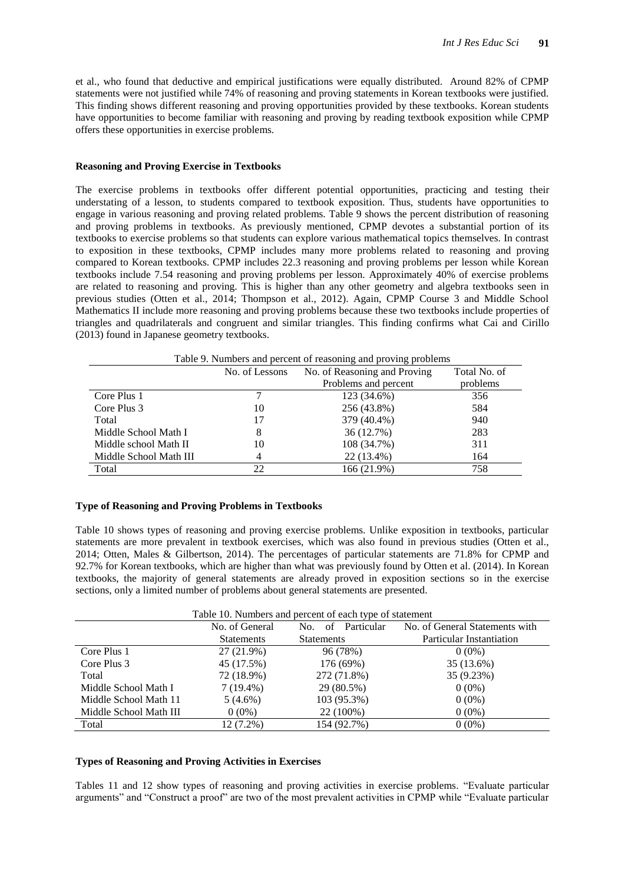et al., who found that deductive and empirical justifications were equally distributed. Around 82% of CPMP statements were not justified while 74% of reasoning and proving statements in Korean textbooks were justified. This finding shows different reasoning and proving opportunities provided by these textbooks. Korean students have opportunities to become familiar with reasoning and proving by reading textbook exposition while CPMP offers these opportunities in exercise problems.

#### **Reasoning and Proving Exercise in Textbooks**

The exercise problems in textbooks offer different potential opportunities, practicing and testing their understating of a lesson, to students compared to textbook exposition. Thus, students have opportunities to engage in various reasoning and proving related problems. Table 9 shows the percent distribution of reasoning and proving problems in textbooks. As previously mentioned, CPMP devotes a substantial portion of its textbooks to exercise problems so that students can explore various mathematical topics themselves. In contrast to exposition in these textbooks, CPMP includes many more problems related to reasoning and proving compared to Korean textbooks. CPMP includes 22.3 reasoning and proving problems per lesson while Korean textbooks include 7.54 reasoning and proving problems per lesson. Approximately 40% of exercise problems are related to reasoning and proving. This is higher than any other geometry and algebra textbooks seen in previous studies (Otten et al., 2014; Thompson et al., 2012). Again, CPMP Course 3 and Middle School Mathematics II include more reasoning and proving problems because these two textbooks include properties of triangles and quadrilaterals and congruent and similar triangles. This finding confirms what Cai and Cirillo (2013) found in Japanese geometry textbooks.

Table 9. Numbers and percent of reasoning and proving problems

|                        | No. of Lessons | No. of Reasoning and Proving | Total No. of |
|------------------------|----------------|------------------------------|--------------|
|                        |                | Problems and percent         | problems     |
| Core Plus 1            |                | 123 (34.6%)                  | 356          |
| Core Plus 3            | 10             | 256 (43.8%)                  | 584          |
| Total                  | 17             | 379 (40.4%)                  | 940          |
| Middle School Math I   |                | 36 (12.7%)                   | 283          |
| Middle school Math II  | 10             | 108 (34.7%)                  | 311          |
| Middle School Math III |                | 22 (13.4%)                   | 164          |
| Total                  | 22             | 166 (21.9%)                  | 758          |

#### **Type of Reasoning and Proving Problems in Textbooks**

Table 10 shows types of reasoning and proving exercise problems. Unlike exposition in textbooks, particular statements are more prevalent in textbook exercises, which was also found in previous studies (Otten et al., 2014; Otten, Males & Gilbertson, 2014). The percentages of particular statements are 71.8% for CPMP and 92.7% for Korean textbooks, which are higher than what was previously found by Otten et al. (2014). In Korean textbooks, the majority of general statements are already proved in exposition sections so in the exercise sections, only a limited number of problems about general statements are presented.

| Table 10. Numbers and percent of each type of statement |                   |                         |                                |  |
|---------------------------------------------------------|-------------------|-------------------------|--------------------------------|--|
|                                                         | No. of General    | Particular<br>of<br>No. | No. of General Statements with |  |
|                                                         | <b>Statements</b> | <b>Statements</b>       | Particular Instantiation       |  |
| Core Plus 1                                             | 27 (21.9%)        | 96 (78%)                | $0(0\%)$                       |  |
| Core Plus 3                                             | 45 (17.5%)        | 176 (69%)               | 35 (13.6%)                     |  |
| Total                                                   | 72 (18.9%)        | 272 (71.8%)             | 35 (9.23%)                     |  |
| Middle School Math I                                    | $7(19.4\%)$       | 29 (80.5%)              | $0(0\%)$                       |  |
| Middle School Math 11                                   | $5(4.6\%)$        | 103 (95.3%)             | $0(0\%)$                       |  |
| Middle School Math III                                  | $0(0\%)$          | 22 (100%)               | $0(0\%)$                       |  |
| Total                                                   | 12 (7.2%)         | 154 (92.7%)             | $0(0\%)$                       |  |

#### **Types of Reasoning and Proving Activities in Exercises**

Tables 11 and 12 show types of reasoning and proving activities in exercise problems. "Evaluate particular arguments" and "Construct a proof" are two of the most prevalent activities in CPMP while "Evaluate particular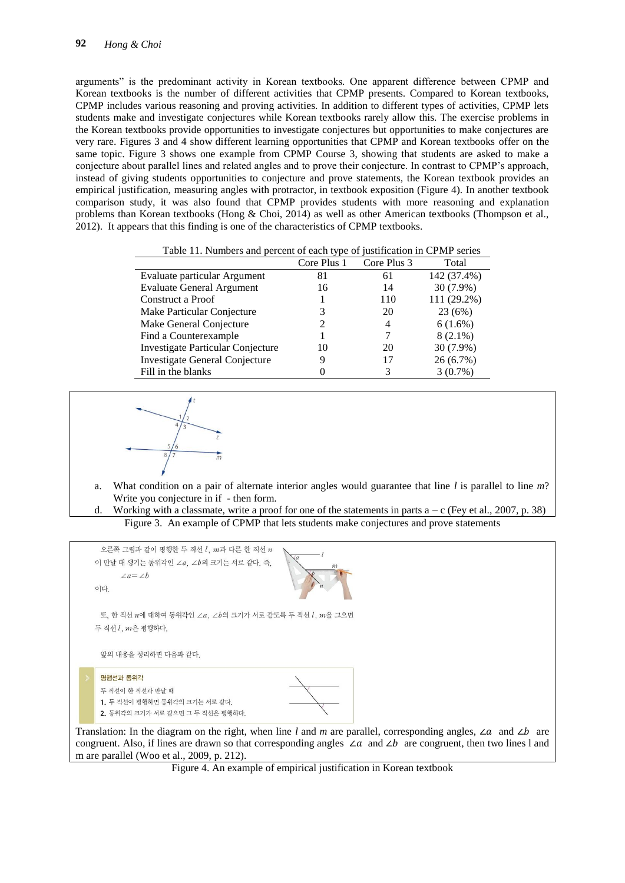arguments" is the predominant activity in Korean textbooks. One apparent difference between CPMP and Korean textbooks is the number of different activities that CPMP presents. Compared to Korean textbooks, CPMP includes various reasoning and proving activities. In addition to different types of activities, CPMP lets students make and investigate conjectures while Korean textbooks rarely allow this. The exercise problems in the Korean textbooks provide opportunities to investigate conjectures but opportunities to make conjectures are very rare. Figures 3 and 4 show different learning opportunities that CPMP and Korean textbooks offer on the same topic. Figure 3 shows one example from CPMP Course 3, showing that students are asked to make a conjecture about parallel lines and related angles and to prove their conjecture. In contrast to CPMP's approach, instead of giving students opportunities to conjecture and prove statements, the Korean textbook provides an empirical justification, measuring angles with protractor, in textbook exposition (Figure 4). In another textbook comparison study, it was also found that CPMP provides students with more reasoning and explanation problems than Korean textbooks (Hong & Choi, 2014) as well as other American textbooks (Thompson et al., 2012). It appears that this finding is one of the characteristics of CPMP textbooks.

Table 11. Numbers and percent of each type of justification in CPMP series

|                                       | Core Plus 1 | Core Plus 3 | Total       |
|---------------------------------------|-------------|-------------|-------------|
| Evaluate particular Argument          | 81          | 61          | 142 (37.4%) |
| <b>Evaluate General Argument</b>      | 16          | 14          | 30 (7.9%)   |
| Construct a Proof                     |             | 110         | 111 (29.2%) |
| Make Particular Conjecture            |             | 20          | 23 (6%)     |
| Make General Conjecture               |             | 4           | 6(1.6%)     |
| Find a Counterexample                 |             |             | $8(2.1\%)$  |
| Investigate Particular Conjecture     | 10          | 20          | 30 (7.9%)   |
| <b>Investigate General Conjecture</b> |             | 17          | 26 (6.7%)   |
| Fill in the blanks                    |             |             | 3(0.7%)     |



- a. What condition on a pair of alternate interior angles would guarantee that line *l* is parallel to line *m*? Write you conjecture in if - then form.
- d. Working with a classmate, write a proof for one of the statements in parts  $a c$  (Fey et al., 2007, p. 38) Figure 3. An example of CPMP that lets students make conjectures and prove statements



Figure 4. An example of empirical justification in Korean textbook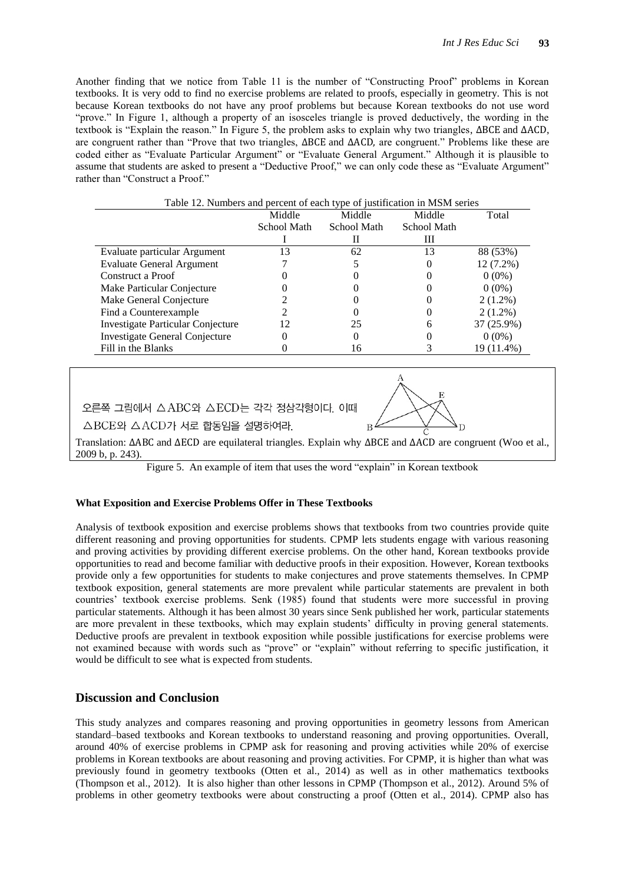Another finding that we notice from Table 11 is the number of "Constructing Proof" problems in Korean textbooks. It is very odd to find no exercise problems are related to proofs, especially in geometry. This is not because Korean textbooks do not have any proof problems but because Korean textbooks do not use word "prove." In Figure 1, although a property of an isosceles triangle is proved deductively, the wording in the textbook is "Explain the reason." In Figure 5, the problem asks to explain why two triangles,  $\Delta$ BCE and  $\Delta$ ACD, are congruent rather than "Prove that two triangles,  $\triangle$ BCE and  $\triangle$ ACD, are congruent." Problems like these are coded either as "Evaluate Particular Argument" or "Evaluate General Argument." Although it is plausible to assume that students are asked to present a "Deductive Proof," we can only code these as "Evaluate Argument" rather than "Construct a Proof."

| I able 12. I vullibels and percent of each type of justification in MISIM series |             |             |             |             |  |
|----------------------------------------------------------------------------------|-------------|-------------|-------------|-------------|--|
|                                                                                  | Middle      | Middle      | Middle      | Total       |  |
|                                                                                  | School Math | School Math | School Math |             |  |
|                                                                                  |             |             | Ш           |             |  |
| Evaluate particular Argument                                                     | 13          | 62          | 13          | 88 (53%)    |  |
| <b>Evaluate General Argument</b>                                                 |             |             |             | $12(7.2\%)$ |  |
| Construct a Proof                                                                |             |             |             | $0(0\%)$    |  |
| Make Particular Conjecture                                                       |             |             |             | $0(0\%)$    |  |
| Make General Conjecture                                                          |             |             |             | $2(1.2\%)$  |  |
| Find a Counterexample                                                            |             |             |             | $2(1.2\%)$  |  |
| Investigate Particular Conjecture                                                | 12          | 25          | h           | 37 (25.9%)  |  |
| Investigate General Conjecture                                                   |             |             |             | $0(0\%)$    |  |
| Fill in the Blanks                                                               |             | 16          |             | 19 (11.4%)  |  |
|                                                                                  |             |             |             |             |  |

## Table 12. Numbers and percent of each type of justification in MSM series

오른쪽 그림에서 △ABC와 △ECD는 각각 정삼각형이다. 이때

△BCE와 △ACD가 서로 합동임을 설명하여라.

Translation:  $\triangle$ ABC and  $\triangle$ ECD are equilateral triangles. Explain why  $\triangle$ BCE and  $\triangle$ ACD are congruent (Woo et al., 2009 b, p. 243).

 $\overline{R}$ 

Figure 5. An example of item that uses the word "explain" in Korean textbook

#### **What Exposition and Exercise Problems Offer in These Textbooks**

Analysis of textbook exposition and exercise problems shows that textbooks from two countries provide quite different reasoning and proving opportunities for students. CPMP lets students engage with various reasoning and proving activities by providing different exercise problems. On the other hand, Korean textbooks provide opportunities to read and become familiar with deductive proofs in their exposition. However, Korean textbooks provide only a few opportunities for students to make conjectures and prove statements themselves. In CPMP textbook exposition, general statements are more prevalent while particular statements are prevalent in both countries' textbook exercise problems. Senk (1985) found that students were more successful in proving particular statements. Although it has been almost 30 years since Senk published her work, particular statements are more prevalent in these textbooks, which may explain students' difficulty in proving general statements. Deductive proofs are prevalent in textbook exposition while possible justifications for exercise problems were not examined because with words such as "prove" or "explain" without referring to specific justification, it would be difficult to see what is expected from students.

## **Discussion and Conclusion**

This study analyzes and compares reasoning and proving opportunities in geometry lessons from American standard–based textbooks and Korean textbooks to understand reasoning and proving opportunities. Overall, around 40% of exercise problems in CPMP ask for reasoning and proving activities while 20% of exercise problems in Korean textbooks are about reasoning and proving activities. For CPMP, it is higher than what was previously found in geometry textbooks (Otten et al., 2014) as well as in other mathematics textbooks (Thompson et al., 2012). It is also higher than other lessons in CPMP (Thompson et al., 2012). Around 5% of problems in other geometry textbooks were about constructing a proof (Otten et al., 2014). CPMP also has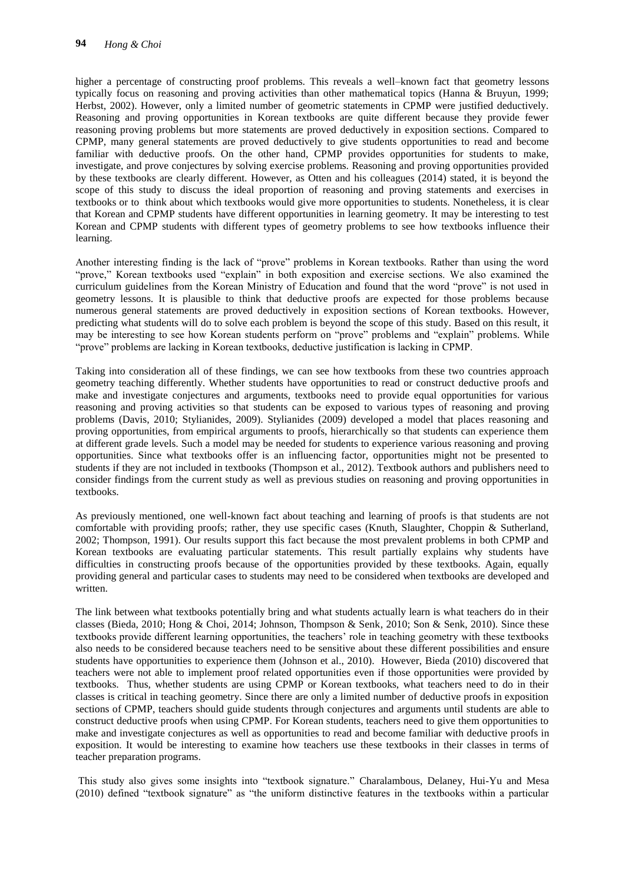higher a percentage of constructing proof problems. This reveals a well–known fact that geometry lessons typically focus on reasoning and proving activities than other mathematical topics (Hanna & Bruyun, 1999; Herbst, 2002). However, only a limited number of geometric statements in CPMP were justified deductively. Reasoning and proving opportunities in Korean textbooks are quite different because they provide fewer reasoning proving problems but more statements are proved deductively in exposition sections. Compared to CPMP, many general statements are proved deductively to give students opportunities to read and become familiar with deductive proofs. On the other hand, CPMP provides opportunities for students to make, investigate, and prove conjectures by solving exercise problems. Reasoning and proving opportunities provided by these textbooks are clearly different. However, as Otten and his colleagues (2014) stated, it is beyond the scope of this study to discuss the ideal proportion of reasoning and proving statements and exercises in textbooks or to think about which textbooks would give more opportunities to students. Nonetheless, it is clear that Korean and CPMP students have different opportunities in learning geometry. It may be interesting to test Korean and CPMP students with different types of geometry problems to see how textbooks influence their learning.

Another interesting finding is the lack of "prove" problems in Korean textbooks. Rather than using the word "prove," Korean textbooks used "explain" in both exposition and exercise sections. We also examined the curriculum guidelines from the Korean Ministry of Education and found that the word "prove" is not used in geometry lessons. It is plausible to think that deductive proofs are expected for those problems because numerous general statements are proved deductively in exposition sections of Korean textbooks. However, predicting what students will do to solve each problem is beyond the scope of this study. Based on this result, it may be interesting to see how Korean students perform on "prove" problems and "explain" problems. While ―prove‖ problems are lacking in Korean textbooks, deductive justification is lacking in CPMP.

Taking into consideration all of these findings, we can see how textbooks from these two countries approach geometry teaching differently. Whether students have opportunities to read or construct deductive proofs and make and investigate conjectures and arguments, textbooks need to provide equal opportunities for various reasoning and proving activities so that students can be exposed to various types of reasoning and proving problems (Davis, 2010; Stylianides, 2009). Stylianides (2009) developed a model that places reasoning and proving opportunities, from empirical arguments to proofs, hierarchically so that students can experience them at different grade levels. Such a model may be needed for students to experience various reasoning and proving opportunities. Since what textbooks offer is an influencing factor, opportunities might not be presented to students if they are not included in textbooks (Thompson et al., 2012). Textbook authors and publishers need to consider findings from the current study as well as previous studies on reasoning and proving opportunities in textbooks.

As previously mentioned, one well-known fact about teaching and learning of proofs is that students are not comfortable with providing proofs; rather, they use specific cases (Knuth, Slaughter, Choppin & Sutherland, 2002; Thompson, 1991). Our results support this fact because the most prevalent problems in both CPMP and Korean textbooks are evaluating particular statements. This result partially explains why students have difficulties in constructing proofs because of the opportunities provided by these textbooks. Again, equally providing general and particular cases to students may need to be considered when textbooks are developed and written.

The link between what textbooks potentially bring and what students actually learn is what teachers do in their classes (Bieda, 2010; Hong & Choi, 2014; Johnson, Thompson & Senk, 2010; Son & Senk, 2010). Since these textbooks provide different learning opportunities, the teachers' role in teaching geometry with these textbooks also needs to be considered because teachers need to be sensitive about these different possibilities and ensure students have opportunities to experience them (Johnson et al., 2010). However, Bieda (2010) discovered that teachers were not able to implement proof related opportunities even if those opportunities were provided by textbooks. Thus, whether students are using CPMP or Korean textbooks, what teachers need to do in their classes is critical in teaching geometry. Since there are only a limited number of deductive proofs in exposition sections of CPMP, teachers should guide students through conjectures and arguments until students are able to construct deductive proofs when using CPMP. For Korean students, teachers need to give them opportunities to make and investigate conjectures as well as opportunities to read and become familiar with deductive proofs in exposition. It would be interesting to examine how teachers use these textbooks in their classes in terms of teacher preparation programs.

This study also gives some insights into "textbook signature." Charalambous, Delaney, Hui-Yu and Mesa  $(2010)$  defined "textbook signature" as "the uniform distinctive features in the textbooks within a particular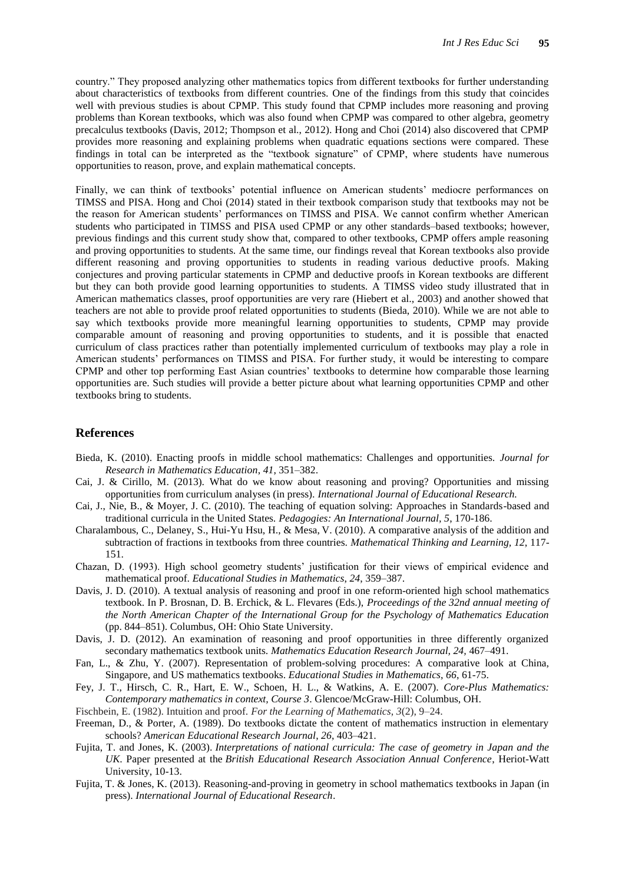country." They proposed analyzing other mathematics topics from different textbooks for further understanding about characteristics of textbooks from different countries. One of the findings from this study that coincides well with previous studies is about CPMP. This study found that CPMP includes more reasoning and proving problems than Korean textbooks, which was also found when CPMP was compared to other algebra, geometry precalculus textbooks (Davis, 2012; Thompson et al., 2012). Hong and Choi (2014) also discovered that CPMP provides more reasoning and explaining problems when quadratic equations sections were compared. These findings in total can be interpreted as the "textbook signature" of CPMP, where students have numerous opportunities to reason, prove, and explain mathematical concepts.

Finally, we can think of textbooks' potential influence on American students' mediocre performances on TIMSS and PISA. Hong and Choi (2014) stated in their textbook comparison study that textbooks may not be the reason for American students' performances on TIMSS and PISA. We cannot confirm whether American students who participated in TIMSS and PISA used CPMP or any other standards–based textbooks; however, previous findings and this current study show that, compared to other textbooks, CPMP offers ample reasoning and proving opportunities to students. At the same time, our findings reveal that Korean textbooks also provide different reasoning and proving opportunities to students in reading various deductive proofs. Making conjectures and proving particular statements in CPMP and deductive proofs in Korean textbooks are different but they can both provide good learning opportunities to students. A TIMSS video study illustrated that in American mathematics classes, proof opportunities are very rare (Hiebert et al., 2003) and another showed that teachers are not able to provide proof related opportunities to students (Bieda, 2010). While we are not able to say which textbooks provide more meaningful learning opportunities to students, CPMP may provide comparable amount of reasoning and proving opportunities to students, and it is possible that enacted curriculum of class practices rather than potentially implemented curriculum of textbooks may play a role in American students' performances on TIMSS and PISA. For further study, it would be interesting to compare CPMP and other top performing East Asian countries' textbooks to determine how comparable those learning opportunities are. Such studies will provide a better picture about what learning opportunities CPMP and other textbooks bring to students.

## **References**

- Bieda, K. (2010). Enacting proofs in middle school mathematics: Challenges and opportunities. *Journal for Research in Mathematics Education*, *41*, 351–382.
- Cai, J. & Cirillo, M. (2013). What do we know about reasoning and proving? Opportunities and missing opportunities from curriculum analyses (in press). *International Journal of Educational Research.*
- Cai, J., Nie, B., & Moyer, J. C. (2010). The teaching of equation solving: Approaches in Standards-based and traditional curricula in the United States. *Pedagogies: An International Journal, 5*, 170-186.
- Charalambous, C., Delaney, S., Hui-Yu Hsu, H., & Mesa, V. (2010). A comparative analysis of the addition and subtraction of fractions in textbooks from three countries. *Mathematical Thinking and Learning, 12*, 117- 151.
- Chazan, D. (1993). High school geometry students' justification for their views of empirical evidence and mathematical proof. *Educational Studies in Mathematics*, *24*, 359–387.
- Davis, J. D. (2010). A textual analysis of reasoning and proof in one reform-oriented high school mathematics textbook. In P. Brosnan, D. B. Erchick, & L. Flevares (Eds.), *Proceedings of the 32nd annual meeting of the North American Chapter of the International Group for the Psychology of Mathematics Education* (pp. 844–851). Columbus, OH: Ohio State University.
- Davis, J. D. (2012). An examination of reasoning and proof opportunities in three differently organized secondary mathematics textbook units. *Mathematics Education Research Journal, 24,* 467–491.
- Fan, L., & Zhu, Y. (2007). [Representation of problem-solving procedures: A comparative look at China,](http://www.springerlink.com/content/g420h4m725313x36/?p=d29ff84e3c534ed395cd489b1180d80f&pi=4)  [Singapore, and US mathematics textbooks.](http://www.springerlink.com/content/g420h4m725313x36/?p=d29ff84e3c534ed395cd489b1180d80f&pi=4) *Educational Studies in Mathematics*, *66*, 61-75.
- Fey, J. T., Hirsch, C. R., Hart, E. W., Schoen, H. L., & Watkins, A. E. (2007). *Core-Plus Mathematics: Contemporary mathematics in context, Course 3*. Glencoe/McGraw-Hill: Columbus, OH.
- Fischbein, E. (1982). Intuition and proof. *For the Learning of Mathematics*, *3*(2), 9–24.
- Freeman, D., & Porter, A. (1989). Do textbooks dictate the content of mathematics instruction in elementary schools? *American Educational Research Journal*, *26*, 403–421.
- Fujita, T. and Jones, K. (2003). *Interpretations of national curricula: The case of geometry in Japan and the UK*. Paper presented at the *British Educational Research Association Annual Conference*, Heriot-Watt University, 10-13.
- Fujita, T. & Jones, K. (2013). [Reasoning-and-proving in geometry in school mathematics textbooks in Japan](http://www.sciencedirect.com/science/article/pii/S0883035513001213) (in press). *International Journal of Educational Research*.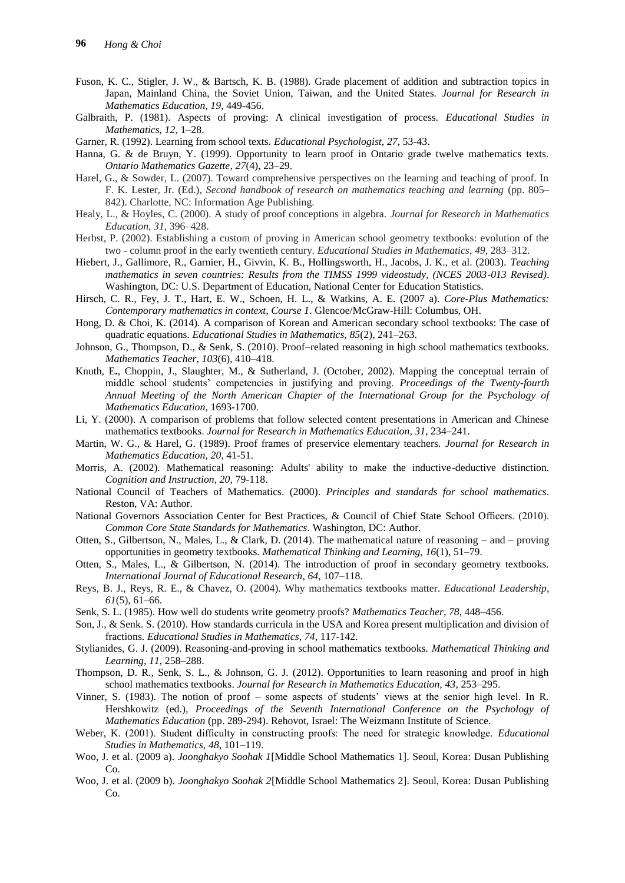- Fuson, K. C., Stigler, J. W., & Bartsch, K. B. (1988). Grade placement of addition and subtraction topics in Japan, Mainland China, the Soviet Union, Taiwan, and the United States. *Journal for Research in Mathematics Education, 19,* 449-456.
- Galbraith, P. (1981). Aspects of proving: A clinical investigation of process. *Educational Studies in Mathematics, 12*, 1–28.
- Garner, R. (1992). Learning from school texts. *Educational Psychologist, 27*, 53-43.
- Hanna, G. & de Bruyn, Y. (1999). Opportunity to learn proof in Ontario grade twelve mathematics texts. *Ontario Mathematics Gazette*, *27*(4), 23–29.
- Harel, G., & Sowder, L. (2007). Toward comprehensive perspectives on the learning and teaching of proof. In F. K. Lester, Jr. (Ed.), *Second handbook of research on mathematics teaching and learning* (pp. 805– 842). Charlotte, NC: Information Age Publishing.
- Healy, L., & Hoyles, C. (2000). A study of proof conceptions in algebra. *Journal for Research in Mathematics Education*, *31*, 396–428.
- Herbst, P. (2002). Establishing a custom of proving in American school geometry textbooks: evolution of the two - column proof in the early twentieth century. *Educational Studies in Mathematics*, *49*, 283–312.
- Hiebert, J., Gallimore, R., Garnier, H., Givvin, K. B., Hollingsworth, H., Jacobs, J. K., et al. (2003). *Teaching mathematics in seven countries: Results from the TIMSS 1999 videostudy, (NCES 2003-013 Revised)*. Washington, DC: U.S. Department of Education, National Center for Education Statistics.
- Hirsch, C. R., Fey, J. T., Hart, E. W., Schoen, H. L., & Watkins, A. E. (2007 a). *Core-Plus Mathematics: Contemporary mathematics in context, Course 1*. Glencoe/McGraw-Hill: Columbus, OH.
- Hong, D. & Choi, K. (2014). A [comparison](http://link.springer.com/article/10.1007/s10649-013-9512-4) of Korean and American secondary school textbooks: The case of quadratic [equations.](http://link.springer.com/article/10.1007/s10649-013-9512-4) *Educational Studies in Mathematics*, *85*(2), 241–263.
- Johnson, G., Thompson, D., & Senk, S. (2010). Proof–related reasoning in high school mathematics textbooks. *Mathematics Teacher*, *103*(6), 410–418.
- Knuth, E**.**, Choppin, J., Slaughter, M., & Sutherland, J. (October, 2002). Mapping the conceptual terrain of middle school students' competencies in justifying and proving. *Proceedings of the Twenty-fourth Annual Meeting of the North American Chapter of the International Group for the Psychology of Mathematics Education,* 1693-1700.
- Li, Y. (2000). A comparison of problems that follow selected content presentations in American and Chinese mathematics textbooks. *Journal for Research in Mathematics Education*, *31*, 234–241.
- Martin, W. G., & Harel, G. (1989). Proof frames of preservice elementary teachers. *Journal for Research in Mathematics Education, 20*, 41-51.
- Morris, A. (2002). Mathematical reasoning: Adults' ability to make the inductive-deductive distinction. *Cognition and Instruction, 20,* 79-118.
- National Council of Teachers of Mathematics. (2000). *Principles and standards for school mathematics*. Reston, VA: Author.
- National Governors Association Center for Best Practices, & Council of Chief State School Officers. (2010). *Common Core State Standards for Mathematics*. Washington, DC: Author.
- Otten, S., Gilbertson, N., Males, L., & Clark, D. (2014). The mathematical nature of reasoning and proving opportunities in geometry textbooks. *Mathematical Thinking and Learning*, *16*(1), 51–79.
- Otten, S., Males, L., & Gilbertson, N. (2014). The introduction of proof in secondary geometry textbooks. *International Journal of Educational Research*, *64*, 107–118.
- Reys, B. J., Reys, R. E., & Chavez, O. (2004). Why mathematics textbooks matter. *Educational Leadership*, *61*(5), 61–66.
- Senk, S. L. (1985). How well do students write geometry proofs? *Mathematics Teacher*, *78*, 448–456.
- Son, J., & Senk. S. (2010). How standards curricula in the USA and Korea present multiplication and division of fractions. *Educational Studies in Mathematics*, *74*, 117-142.
- Stylianides, G. J. (2009). Reasoning-and-proving in school mathematics textbooks. *Mathematical Thinking and Learning*, *11*, 258–288.
- Thompson, D. R., Senk, S. L., & Johnson, G. J. (2012). Opportunities to learn reasoning and proof in high school mathematics textbooks. *Journal for Research in Mathematics Education, 43*, 253–295.
- Vinner, S. (1983). The notion of proof some aspects of students' views at the senior high level. In R. Hershkowitz (ed.), *Proceedings of the Seventh International Conference on the Psychology of Mathematics Education* (pp. 289-294). Rehovot, Israel: The Weizmann Institute of Science.
- Weber, K. (2001). Student difficulty in constructing proofs: The need for strategic knowledge. *Educational Studies in Mathematics*, *48*, 101–119.
- Woo, J. et al. (2009 a). *Joonghakyo Soohak 1*[Middle School Mathematics 1]. Seoul, Korea: Dusan Publishing Co.
- Woo, J. et al. (2009 b). *Joonghakyo Soohak 2*[Middle School Mathematics 2]. Seoul, Korea: Dusan Publishing Co.